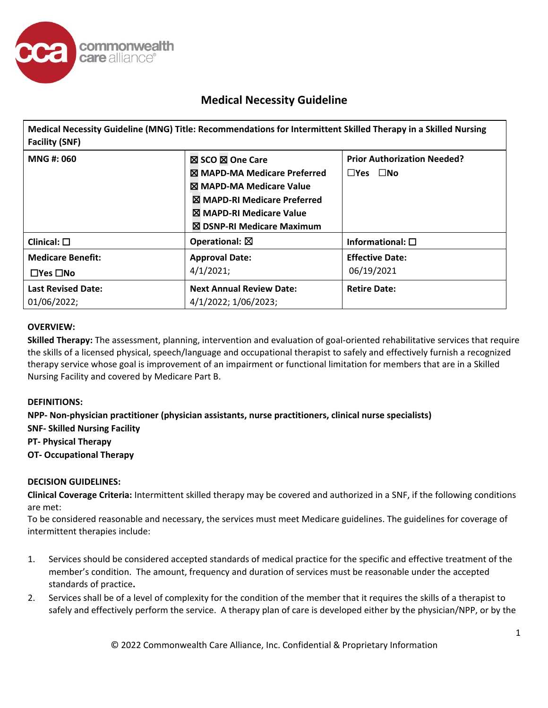

**Medical Necessity Guideline (MNG) Title: Recommendations for Intermittent Skilled Therapy in a Skilled Nursing Facility (SNF) MNG #: 060** ☒ **SCO** ☒ **One Care**  ☒ **MAPD-MA Medicare Preferred** ☒ **MAPD-MA Medicare Value** ☒ **MAPD-RI Medicare Preferred** ☒ **MAPD-RI Medicare Value** ☒ **DSNP-RI Medicare Maximum Prior Authorization Needed?**  ☐**Yes** ☐**No Clinical:** ☐ **Operational:** ☒ **Informational:** ☐ **Medicare Benefit:**  ☐**Yes** ☐**No Approval Date:** 4/1/2021; **Effective Date:** 06/19/2021 **Last Revised Date: Next Annual Review Date: Retire Date:** 

## **OVERVIEW:**

01/06/2022;

**Skilled Therapy:** The assessment, planning, intervention and evaluation of goal-oriented rehabilitative services that require the skills of a licensed physical, speech/language and occupational therapist to safely and effectively furnish a recognized therapy service whose goal is improvement of an impairment or functional limitation for members that are in a Skilled Nursing Facility and covered by Medicare Part B.

### **DEFINITIONS:**

**NPP- Non-physician practitioner (physician assistants, nurse practitioners, clinical nurse specialists) SNF- Skilled Nursing Facility PT- Physical Therapy OT- Occupational Therapy** 

4/1/2022; 1/06/2023;

## **DECISION GUIDELINES:**

**Clinical Coverage Criteria:** Intermittent skilled therapy may be covered and authorized in a SNF, if the following conditions are met:

To be considered reasonable and necessary, the services must meet Medicare guidelines. The guidelines for coverage of intermittent therapies include:

- 1. Services should be considered accepted standards of medical practice for the specific and effective treatment of the member's condition. The amount, frequency and duration of services must be reasonable under the accepted standards of practice**.**
- 2. Services shall be of a level of complexity for the condition of the member that it requires the skills of a therapist to safely and effectively perform the service. A therapy plan of care is developed either by the physician/NPP, or by the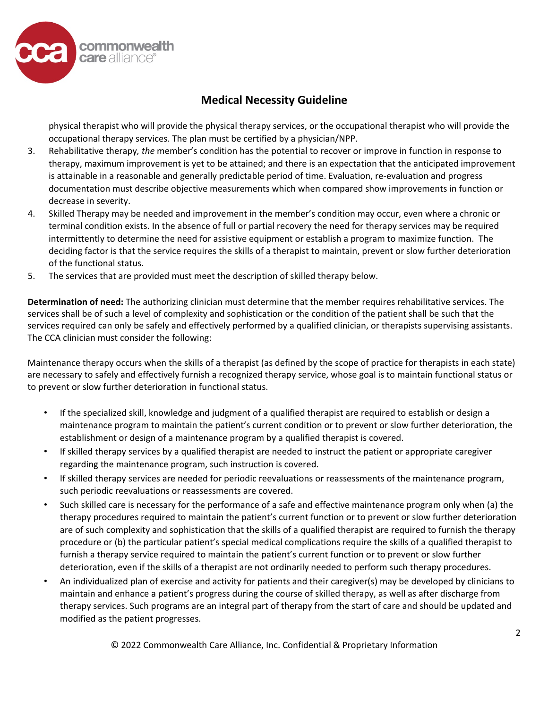

physical therapist who will provide the physical therapy services, or the occupational therapist who will provide the occupational therapy services. The plan must be certified by a physician/NPP.

- 3. Rehabilitative therapy*, the* member's condition has the potential to recover or improve in function in response to therapy, maximum improvement is yet to be attained; and there is an expectation that the anticipated improvement is attainable in a reasonable and generally predictable period of time. Evaluation, re-evaluation and progress documentation must describe objective measurements which when compared show improvements in function or decrease in severity.
- 4. Skilled Therapy may be needed and improvement in the member's condition may occur, even where a chronic or terminal condition exists. In the absence of full or partial recovery the need for therapy services may be required intermittently to determine the need for assistive equipment or establish a program to maximize function. The deciding factor is that the service requires the skills of a therapist to maintain, prevent or slow further deterioration of the functional status.
- 5. The services that are provided must meet the description of skilled therapy below.

**Determination of need:** The authorizing clinician must determine that the member requires rehabilitative services. The services shall be of such a level of complexity and sophistication or the condition of the patient shall be such that the services required can only be safely and effectively performed by a qualified clinician, or therapists supervising assistants. The CCA clinician must consider the following:

Maintenance therapy occurs when the skills of a therapist (as defined by the scope of practice for therapists in each state) are necessary to safely and effectively furnish a recognized therapy service, whose goal is to maintain functional status or to prevent or slow further deterioration in functional status.

- If the specialized skill, knowledge and judgment of a qualified therapist are required to establish or design a maintenance program to maintain the patient's current condition or to prevent or slow further deterioration, the establishment or design of a maintenance program by a qualified therapist is covered.
- If skilled therapy services by a qualified therapist are needed to instruct the patient or appropriate caregiver regarding the maintenance program, such instruction is covered.
- If skilled therapy services are needed for periodic reevaluations or reassessments of the maintenance program, such periodic reevaluations or reassessments are covered.
- Such skilled care is necessary for the performance of a safe and effective maintenance program only when (a) the therapy procedures required to maintain the patient's current function or to prevent or slow further deterioration are of such complexity and sophistication that the skills of a qualified therapist are required to furnish the therapy procedure or (b) the particular patient's special medical complications require the skills of a qualified therapist to furnish a therapy service required to maintain the patient's current function or to prevent or slow further deterioration, even if the skills of a therapist are not ordinarily needed to perform such therapy procedures.
- An individualized plan of exercise and activity for patients and their caregiver(s) may be developed by clinicians to maintain and enhance a patient's progress during the course of skilled therapy, as well as after discharge from therapy services. Such programs are an integral part of therapy from the start of care and should be updated and modified as the patient progresses.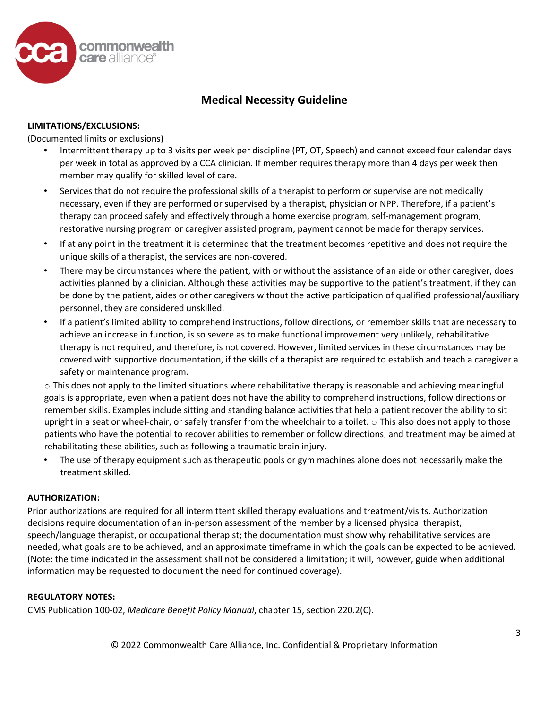

### **LIMITATIONS/EXCLUSIONS:**

(Documented limits or exclusions)

- Intermittent therapy up to 3 visits per week per discipline (PT, OT, Speech) and cannot exceed four calendar days per week in total as approved by a CCA clinician. If member requires therapy more than 4 days per week then member may qualify for skilled level of care.
- Services that do not require the professional skills of a therapist to perform or supervise are not medically necessary, even if they are performed or supervised by a therapist, physician or NPP. Therefore, if a patient's therapy can proceed safely and effectively through a home exercise program, self-management program, restorative nursing program or caregiver assisted program, payment cannot be made for therapy services.
- If at any point in the treatment it is determined that the treatment becomes repetitive and does not require the unique skills of a therapist, the services are non-covered.
- There may be circumstances where the patient, with or without the assistance of an aide or other caregiver, does activities planned by a clinician. Although these activities may be supportive to the patient's treatment, if they can be done by the patient, aides or other caregivers without the active participation of qualified professional/auxiliary personnel, they are considered unskilled.
- If a patient's limited ability to comprehend instructions, follow directions, or remember skills that are necessary to achieve an increase in function, is so severe as to make functional improvement very unlikely, rehabilitative therapy is not required, and therefore, is not covered. However, limited services in these circumstances may be covered with supportive documentation, if the skills of a therapist are required to establish and teach a caregiver a safety or maintenance program.

o This does not apply to the limited situations where rehabilitative therapy is reasonable and achieving meaningful goals is appropriate, even when a patient does not have the ability to comprehend instructions, follow directions or remember skills. Examples include sitting and standing balance activities that help a patient recover the ability to sit upright in a seat or wheel-chair, or safely transfer from the wheelchair to a toilet.  $\circ$  This also does not apply to those patients who have the potential to recover abilities to remember or follow directions, and treatment may be aimed at rehabilitating these abilities, such as following a traumatic brain injury.

• The use of therapy equipment such as therapeutic pools or gym machines alone does not necessarily make the treatment skilled.

### **AUTHORIZATION:**

Prior authorizations are required for all intermittent skilled therapy evaluations and treatment/visits. Authorization decisions require documentation of an in-person assessment of the member by a licensed physical therapist, speech/language therapist, or occupational therapist; the documentation must show why rehabilitative services are needed, what goals are to be achieved, and an approximate timeframe in which the goals can be expected to be achieved. (Note: the time indicated in the assessment shall not be considered a limitation; it will, however, guide when additional information may be requested to document the need for continued coverage).

### **REGULATORY NOTES:**

CMS Publication 100-02, *Medicare Benefit Policy Manual*, chapter 15, section 220.2(C).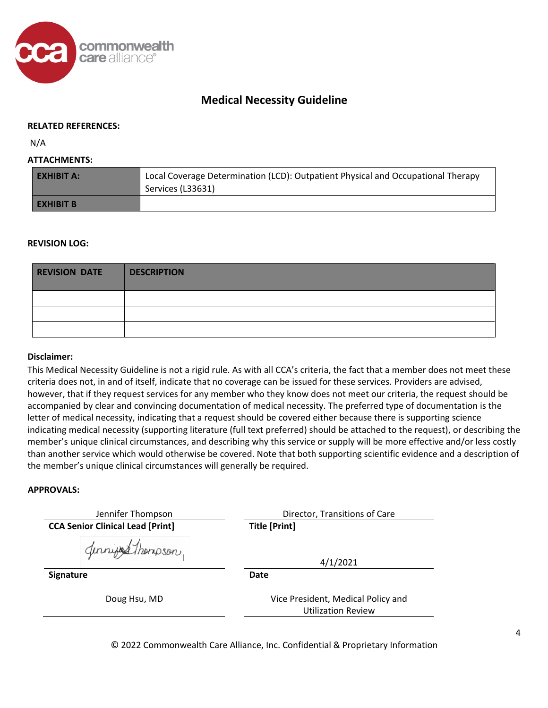

#### **RELATED REFERENCES:**

N/A

#### **ATTACHMENTS:**

| <b>EXHIBIT A:</b> | Local Coverage Determination (LCD): Outpatient Physical and Occupational Therapy<br>Services (L33631) |
|-------------------|-------------------------------------------------------------------------------------------------------|
| I EXHIBIT B       |                                                                                                       |

#### **REVISION LOG:**

| <b>REVISION DATE</b> | DESCRIPTION |
|----------------------|-------------|
|                      |             |
|                      |             |
|                      |             |

#### **Disclaimer:**

This Medical Necessity Guideline is not a rigid rule. As with all CCA's criteria, the fact that a member does not meet these criteria does not, in and of itself, indicate that no coverage can be issued for these services. Providers are advised, however, that if they request services for any member who they know does not meet our criteria, the request should be accompanied by clear and convincing documentation of medical necessity. The preferred type of documentation is the letter of medical necessity, indicating that a request should be covered either because there is supporting science indicating medical necessity (supporting literature (full text preferred) should be attached to the request), or describing the member's unique clinical circumstances, and describing why this service or supply will be more effective and/or less costly than another service which would otherwise be covered. Note that both supporting scientific evidence and a description of the member's unique clinical circumstances will generally be required.

#### **APPROVALS:**

| Jennifer Thompson                       | Director, Transitions of Care                                   |  |
|-----------------------------------------|-----------------------------------------------------------------|--|
| <b>CCA Senior Clinical Lead [Print]</b> | <b>Title [Print]</b>                                            |  |
| Gennings Thompson                       | 4/1/2021                                                        |  |
| Signature                               | <b>Date</b>                                                     |  |
| Doug Hsu, MD                            | Vice President, Medical Policy and<br><b>Utilization Review</b> |  |

© 2022 Commonwealth Care Alliance, Inc. Confidential & Proprietary Information